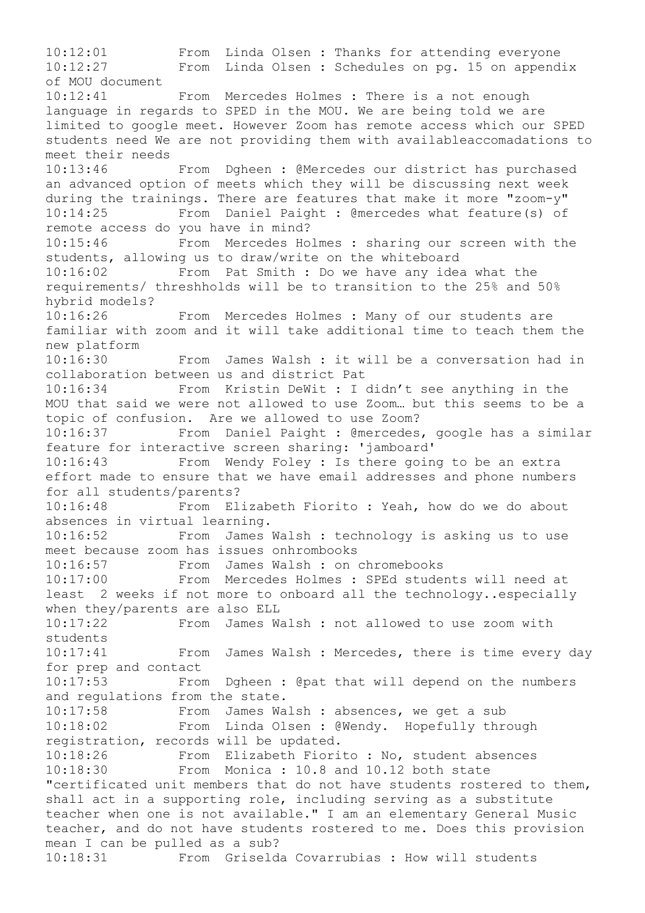10:12:01 From Linda Olsen : Thanks for attending everyone 10:12:27 From Linda Olsen : Schedules on pg. 15 on appendix of MOU document 10:12:41 From Mercedes Holmes : There is a not enough language in regards to SPED in the MOU. We are being told we are limited to google meet. However Zoom has remote access which our SPED students need We are not providing them with availableaccomadations to meet their needs 10:13:46 From Dgheen : @Mercedes our district has purchased an advanced option of meets which they will be discussing next week during the trainings. There are features that make it more "zoom-y" 10:14:25 From Daniel Paight : @mercedes what feature(s) of remote access do you have in mind? 10:15:46 From Mercedes Holmes : sharing our screen with the students, allowing us to draw/write on the whiteboard 10:16:02 From Pat Smith : Do we have any idea what the requirements/ threshholds will be to transition to the 25% and 50% hybrid models? 10:16:26 From Mercedes Holmes : Many of our students are familiar with zoom and it will take additional time to teach them the new platform 10:16:30 From James Walsh : it will be a conversation had in collaboration between us and district Pat 10:16:34 From Kristin DeWit : I didn't see anything in the MOU that said we were not allowed to use Zoom… but this seems to be a topic of confusion. Are we allowed to use Zoom? 10:16:37 From Daniel Paight : @mercedes, google has a similar feature for interactive screen sharing: 'jamboard' 10:16:43 From Wendy Foley : Is there going to be an extra effort made to ensure that we have email addresses and phone numbers for all students/parents? 10:16:48 From Elizabeth Fiorito : Yeah, how do we do about absences in virtual learning. 10:16:52 From James Walsh : technology is asking us to use meet because zoom has issues onhrombooks 10:16:57 From James Walsh : on chromebooks 10:17:00 From Mercedes Holmes : SPEd students will need at least 2 weeks if not more to onboard all the technology..especially when they/parents are also ELL 10:17:22 From James Walsh : not allowed to use zoom with students 10:17:41 From James Walsh : Mercedes, there is time every day for prep and contact 10:17:53 From Dgheen : @pat that will depend on the numbers and regulations from the state. 10:17:58 From James Walsh : absences, we get a sub 10:18:02 From Linda Olsen : @Wendy. Hopefully through registration, records will be updated. 10:18:26 From Elizabeth Fiorito : No, student absences 10:18:30 From Monica : 10.8 and 10.12 both state "certificated unit members that do not have students rostered to them, shall act in a supporting role, including serving as a substitute teacher when one is not available." I am an elementary General Music teacher, and do not have students rostered to me. Does this provision mean I can be pulled as a sub? 10:18:31 From Griselda Covarrubias : How will students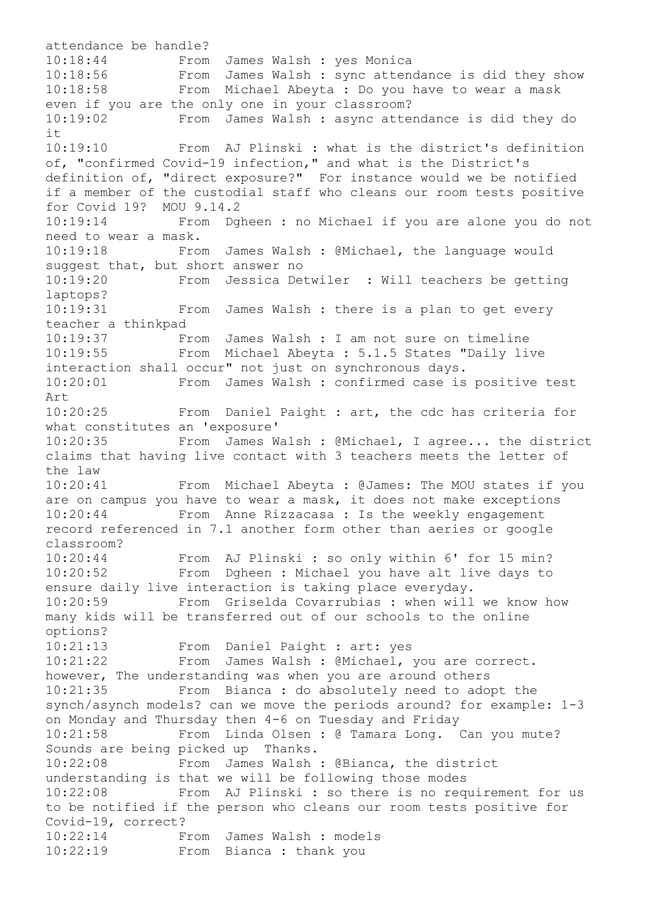attendance be handle? 10:18:44 From James Walsh : yes Monica 10:18:56 From James Walsh : sync attendance is did they show<br>10:18:58 From Michael Abeyta : Do you have to wear a mask From Michael Abeyta : Do you have to wear a mask even if you are the only one in your classroom? 10:19:02 From James Walsh : async attendance is did they do it 10:19:10 From AJ Plinski : what is the district's definition of, "confirmed Covid-19 infection," and what is the District's definition of, "direct exposure?" For instance would we be notified if a member of the custodial staff who cleans our room tests positive for Covid 19? MOU 9.14.2 10:19:14 From Dgheen : no Michael if you are alone you do not need to wear a mask. 10:19:18 From James Walsh : @Michael, the language would suggest that, but short answer no 10:19:20 From Jessica Detwiler : Will teachers be getting laptops? 10:19:31 From James Walsh : there is a plan to get every teacher a thinkpad 10:19:37 From James Walsh : I am not sure on timeline 10:19:55 From Michael Abeyta : 5.1.5 States "Daily live interaction shall occur" not just on synchronous days. 10:20:01 From James Walsh : confirmed case is positive test Art<br>10:20:25 From Daniel Paight : art, the cdc has criteria for what constitutes an 'exposure' 10:20:35 From James Walsh : @Michael, I agree... the district claims that having live contact with 3 teachers meets the letter of the law 10:20:41 From Michael Abeyta : @James: The MOU states if you are on campus you have to wear a mask, it does not make exceptions 10:20:44 From Anne Rizzacasa : Is the weekly engagement record referenced in 7.1 another form other than aeries or google classroom? 10:20:44 From AJ Plinski : so only within 6' for 15 min? From Dgheen : Michael you have alt live days to ensure daily live interaction is taking place everyday. 10:20:59 From Griselda Covarrubias : when will we know how many kids will be transferred out of our schools to the online options? 10:21:13 From Daniel Paight : art: yes<br>10:21:22 From James Walsh : @Michael. From James Walsh : @Michael, you are correct. however, The understanding was when you are around others 10:21:35 From Bianca : do absolutely need to adopt the synch/asynch models? can we move the periods around? for example: 1-3 on Monday and Thursday then 4-6 on Tuesday and Friday 10:21:58 From Linda Olsen : @ Tamara Long. Can you mute? Sounds are being picked up Thanks. 10:22:08 From James Walsh : @Bianca, the district understanding is that we will be following those modes 10:22:08 From AJ Plinski : so there is no requirement for us to be notified if the person who cleans our room tests positive for Covid-19, correct? 10:22:14 From James Walsh : models 10:22:19 From Bianca : thank you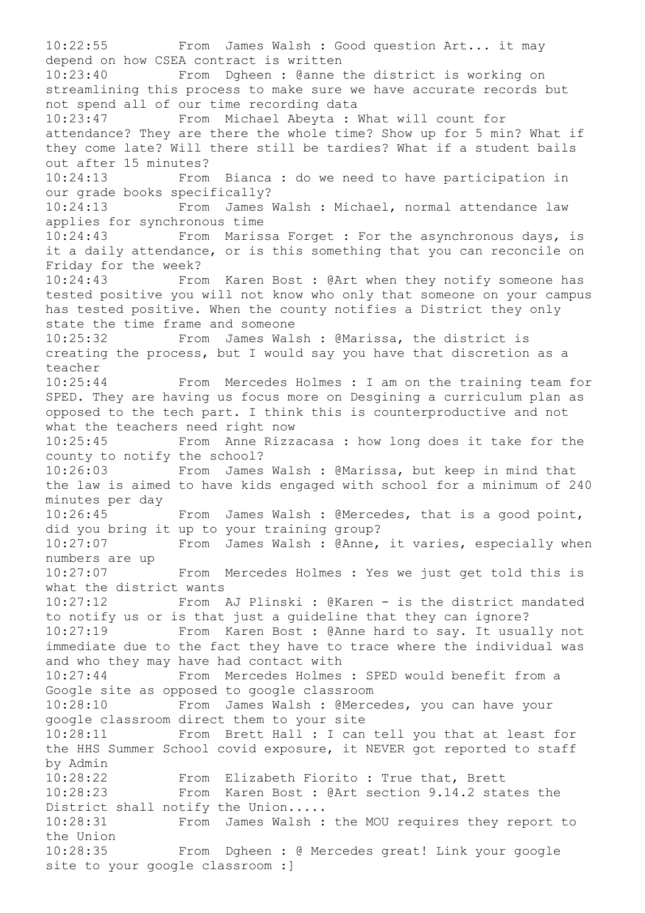10:22:55 From James Walsh : Good question Art... it may depend on how CSEA contract is written 10:23:40 From Dgheen : @anne the district is working on streamlining this process to make sure we have accurate records but not spend all of our time recording data 10:23:47 From Michael Abeyta : What will count for attendance? They are there the whole time? Show up for 5 min? What if they come late? Will there still be tardies? What if a student bails out after 15 minutes? 10:24:13 From Bianca : do we need to have participation in our grade books specifically? 10:24:13 From James Walsh : Michael, normal attendance law applies for synchronous time<br>10:24:43 From Maris From Marissa Forget : For the asynchronous days, is it a daily attendance, or is this something that you can reconcile on Friday for the week? 10:24:43 From Karen Bost : @Art when they notify someone has tested positive you will not know who only that someone on your campus has tested positive. When the county notifies a District they only state the time frame and someone 10:25:32 From James Walsh : @Marissa, the district is creating the process, but I would say you have that discretion as a teacher 10:25:44 From Mercedes Holmes : I am on the training team for SPED. They are having us focus more on Desgining a curriculum plan as opposed to the tech part. I think this is counterproductive and not what the teachers need right now 10:25:45 From Anne Rizzacasa : how long does it take for the county to notify the school? 10:26:03 From James Walsh : @Marissa, but keep in mind that the law is aimed to have kids engaged with school for a minimum of 240 minutes per day 10:26:45 From James Walsh : @Mercedes, that is a good point, did you bring it up to your training group? 10:27:07 From James Walsh : @Anne, it varies, especially when numbers are up 10:27:07 From Mercedes Holmes : Yes we just get told this is what the district wants 10:27:12 From AJ Plinski : @Karen - is the district mandated to notify us or is that just a guideline that they can ignore? 10:27:19 From Karen Bost : @Anne hard to say. It usually not immediate due to the fact they have to trace where the individual was and who they may have had contact with 10:27:44 From Mercedes Holmes : SPED would benefit from a Google site as opposed to google classroom 10:28:10 From James Walsh : @Mercedes, you can have your google classroom direct them to your site 10:28:11 From Brett Hall : I can tell you that at least for the HHS Summer School covid exposure, it NEVER got reported to staff by Admin 10:28:22 From Elizabeth Fiorito : True that, Brett 10:28:23 From Karen Bost : @Art section 9.14.2 states the District shall notify the Union..... 10:28:31 From James Walsh : the MOU requires they report to the Union 10:28:35 From Dgheen : @ Mercedes great! Link your google site to your google classroom :]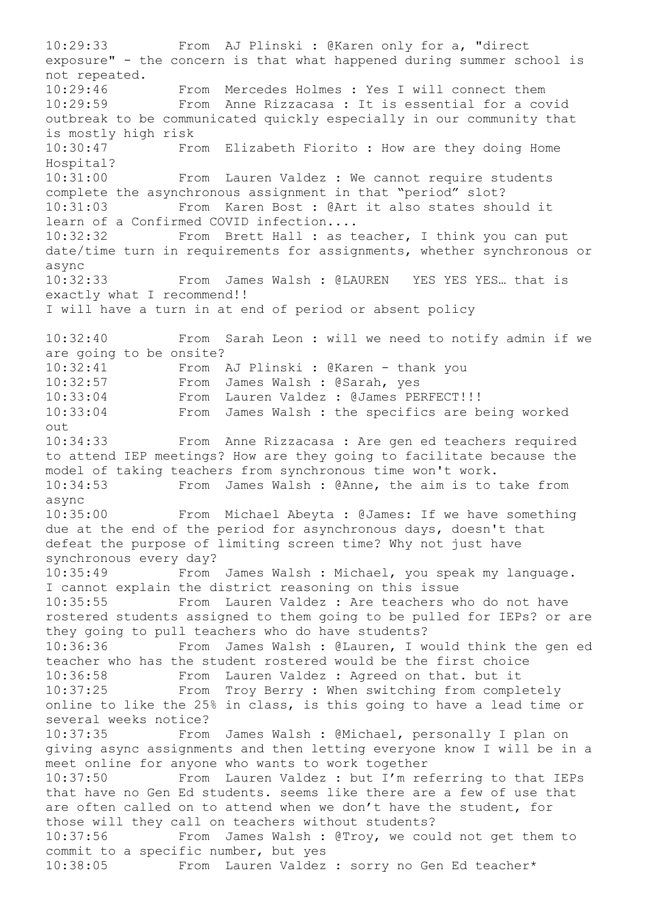10:29:33 From AJ Plinski : @Karen only for a, "direct exposure" - the concern is that what happened during summer school is not repeated. 10:29:46 From Mercedes Holmes : Yes I will connect them 10:29:59 From Anne Rizzacasa : It is essential for a covid outbreak to be communicated quickly especially in our community that is mostly high risk 10:30:47 From Elizabeth Fiorito : How are they doing Home Hospital? 10:31:00 From Lauren Valdez : We cannot require students complete the asynchronous assignment in that "period" slot? 10:31:03 From Karen Bost : @Art it also states should it learn of a Confirmed COVID infection.... 10:32:32 From Brett Hall : as teacher, I think you can put date/time turn in requirements for assignments, whether synchronous or async<br>10:32:33 From James Walsh : @LAUREN YES YES YES... that is exactly what I recommend!! I will have a turn in at end of period or absent policy 10:32:40 From Sarah Leon : will we need to notify admin if we are going to be onsite? 10:32:41 From AJ Plinski : @Karen - thank you 10:32:57 From James Walsh : @Sarah, yes 10:33:04 From Lauren Valdez : @James PERFECT!!! 10:33:04 From James Walsh : the specifics are being worked out 10:34:33 From Anne Rizzacasa : Are gen ed teachers required to attend IEP meetings? How are they going to facilitate because the model of taking teachers from synchronous time won't work. 10:34:53 From James Walsh : @Anne, the aim is to take from async 10:35:00 From Michael Abeyta : @James: If we have something due at the end of the period for asynchronous days, doesn't that defeat the purpose of limiting screen time? Why not just have synchronous every day? 10:35:49 From James Walsh : Michael, you speak my language. I cannot explain the district reasoning on this issue 10:35:55 From Lauren Valdez : Are teachers who do not have rostered students assigned to them going to be pulled for IEPs? or are they going to pull teachers who do have students? 10:36:36 From James Walsh : @Lauren, I would think the gen ed teacher who has the student rostered would be the first choice 10:36:58 From Lauren Valdez : Agreed on that. but it 10:37:25 From Troy Berry : When switching from completely online to like the 25% in class, is this going to have a lead time or several weeks notice? 10:37:35 From James Walsh : @Michael, personally I plan on giving async assignments and then letting everyone know I will be in a meet online for anyone who wants to work together 10:37:50 From Lauren Valdez : but I'm referring to that IEPs that have no Gen Ed students. seems like there are a few of use that are often called on to attend when we don't have the student, for those will they call on teachers without students? 10:37:56 From James Walsh : @Troy, we could not get them to commit to a specific number, but yes 10:38:05 From Lauren Valdez : sorry no Gen Ed teacher\*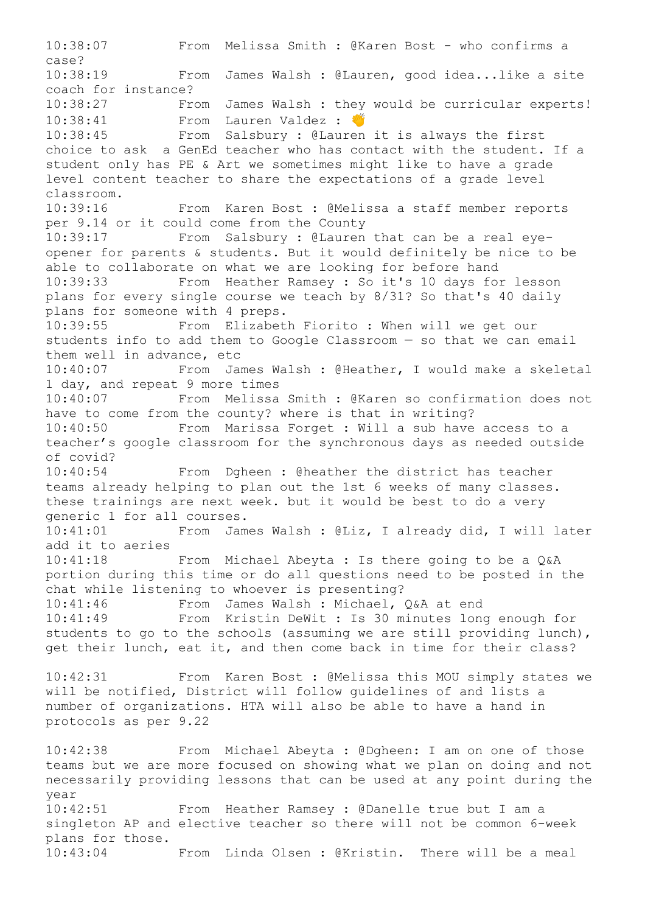10:38:07 From Melissa Smith : @Karen Bost - who confirms a case? 10:38:19 From James Walsh : @Lauren, good idea...like a site coach for instance? 10:38:27 From James Walsh : they would be curricular experts! 10:38:41 From Lauren Valdez : W 10:38:45 From Salsbury : @Lauren it is always the first choice to ask a GenEd teacher who has contact with the student. If a student only has PE & Art we sometimes might like to have a grade level content teacher to share the expectations of a grade level classroom. 10:39:16 From Karen Bost : @Melissa a staff member reports per 9.14 or it could come from the County 10:39:17 From Salsbury : @Lauren that can be a real eyeopener for parents & students. But it would definitely be nice to be able to collaborate on what we are looking for before hand 10:39:33 From Heather Ramsey : So it's 10 days for lesson plans for every single course we teach by 8/31? So that's 40 daily plans for someone with 4 preps. 10:39:55 From Elizabeth Fiorito : When will we get our students info to add them to Google Classroom — so that we can email them well in advance, etc 10:40:07 From James Walsh : @Heather, I would make a skeletal 1 day, and repeat 9 more times 10:40:07 From Melissa Smith : @Karen so confirmation does not have to come from the county? where is that in writing?<br>10:40:50 From Marissa Forget : Will a sub have From Marissa Forget : Will a sub have access to a teacher's google classroom for the synchronous days as needed outside of covid? 10:40:54 From Dgheen : @heather the district has teacher teams already helping to plan out the 1st 6 weeks of many classes. these trainings are next week. but it would be best to do a very generic 1 for all courses. 10:41:01 From James Walsh : @Liz, I already did, I will later add it to aeries 10:41:18 From Michael Abeyta : Is there going to be a Q&A portion during this time or do all questions need to be posted in the chat while listening to whoever is presenting? 10:41:46 From James Walsh : Michael, Q&A at end 10:41:49 From Kristin DeWit : Is 30 minutes long enough for students to go to the schools (assuming we are still providing lunch), get their lunch, eat it, and then come back in time for their class? 10:42:31 From Karen Bost : @Melissa this MOU simply states we will be notified, District will follow guidelines of and lists a number of organizations. HTA will also be able to have a hand in protocols as per 9.22 10:42:38 From Michael Abeyta : @Dgheen: I am on one of those teams but we are more focused on showing what we plan on doing and not necessarily providing lessons that can be used at any point during the year 10:42:51 From Heather Ramsey : @Danelle true but I am a singleton AP and elective teacher so there will not be common 6-week plans for those. 10:43:04 From Linda Olsen : @Kristin. There will be a meal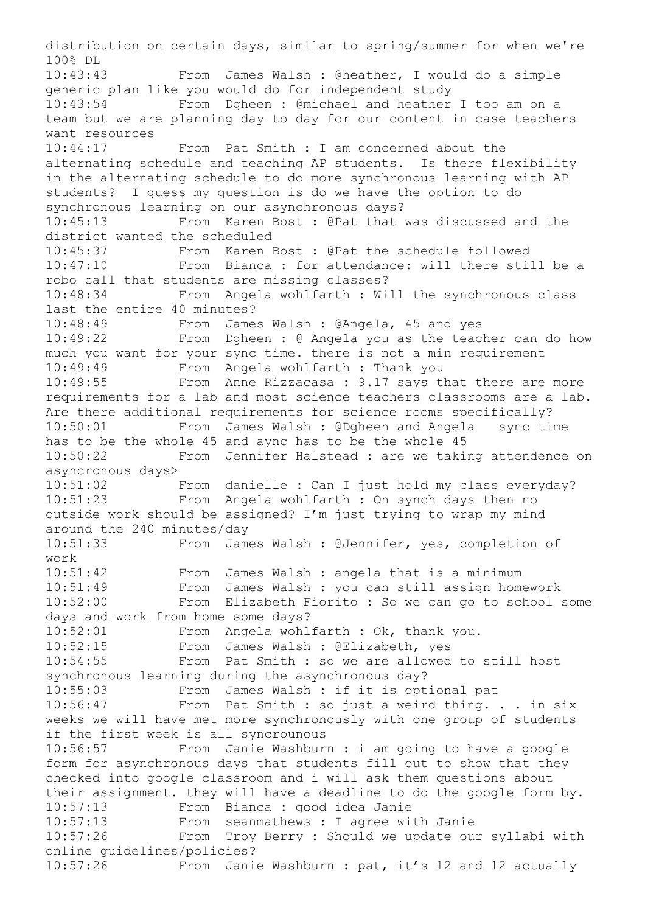distribution on certain days, similar to spring/summer for when we're 100% DL 10:43:43 From James Walsh : @heather, I would do a simple generic plan like you would do for independent study 10:43:54 From Dgheen : @michael and heather I too am on a team but we are planning day to day for our content in case teachers want resources 10:44:17 From Pat Smith : I am concerned about the alternating schedule and teaching AP students. Is there flexibility in the alternating schedule to do more synchronous learning with AP students? I guess my question is do we have the option to do synchronous learning on our asynchronous days? 10:45:13 From Karen Bost : @Pat that was discussed and the district wanted the scheduled 10:45:37 From Karen Bost : @Pat the schedule followed 10:47:10 From Bianca : for attendance: will there still be a robo call that students are missing classes? 10:48:34 From Angela wohlfarth : Will the synchronous class last the entire 40 minutes? 10:48:49 From James Walsh : @Angela, 45 and yes 10:49:22 From Dgheen : @ Angela you as the teacher can do how much you want for your sync time. there is not a min requirement 10:49:49 From Angela wohlfarth : Thank you 10:49:55 From Anne Rizzacasa : 9.17 says that there are more requirements for a lab and most science teachers classrooms are a lab. Are there additional requirements for science rooms specifically? 10:50:01 From James Walsh : @Dgheen and Angela sync time has to be the whole 45 and aync has to be the whole 45 10:50:22 From Jennifer Halstead : are we taking attendence on asyncronous days> 10:51:02 From danielle : Can I just hold my class everyday? 10:51:23 From Angela wohlfarth : On synch days then no outside work should be assigned? I'm just trying to wrap my mind around the 240 minutes/day<br>10:51:33 From Jame From James Walsh : @Jennifer, yes, completion of work 10:51:42 From James Walsh : angela that is a minimum 10:51:49 From James Walsh : you can still assign homework 10:52:00 From Elizabeth Fiorito : So we can go to school some days and work from home some days? 10:52:01 From Angela wohlfarth : Ok, thank you. 10:52:15 From James Walsh : @Elizabeth, yes 10:54:55 From Pat Smith : so we are allowed to still host synchronous learning during the asynchronous day? 10:55:03 From James Walsh : if it is optional pat 10:56:47 From Pat Smith : so just a weird thing. . . in six weeks we will have met more synchronously with one group of students if the first week is all syncrounous 10:56:57 From Janie Washburn : i am going to have a google form for asynchronous days that students fill out to show that they checked into google classroom and i will ask them questions about their assignment. they will have a deadline to do the google form by. 10:57:13 From Bianca : good idea Janie 10:57:13 From seanmathews : I agree with Janie 10:57:26 From Troy Berry : Should we update our syllabi with online guidelines/policies? 10:57:26 From Janie Washburn : pat, it's 12 and 12 actually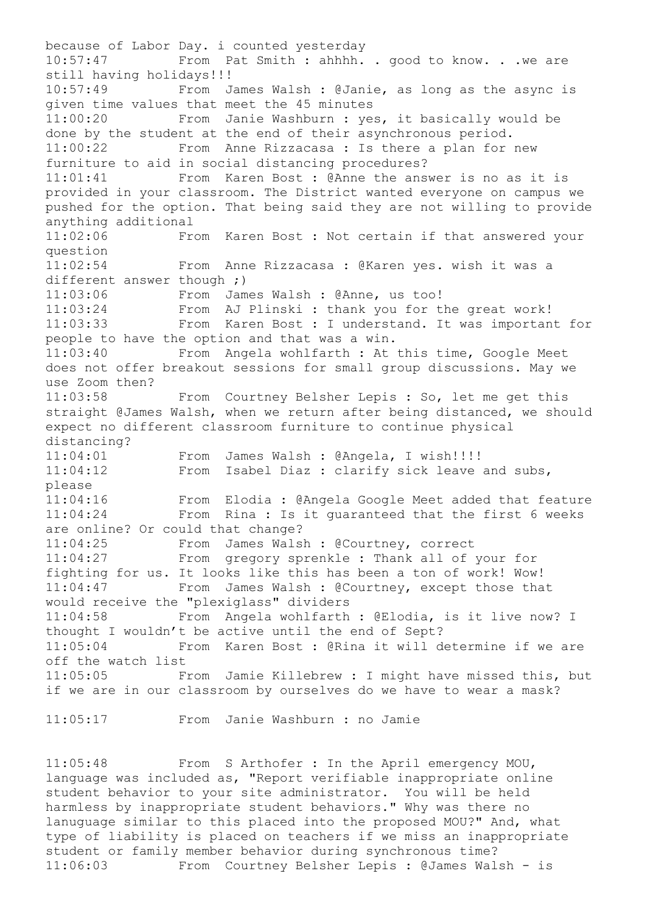because of Labor Day. i counted yesterday 10:57:47 From Pat Smith : ahhhh. . good to know. . .we are still having holidays!!! 10:57:49 From James Walsh : @Janie, as long as the async is given time values that meet the 45 minutes 11:00:20 From Janie Washburn : yes, it basically would be done by the student at the end of their asynchronous period. 11:00:22 From Anne Rizzacasa : Is there a plan for new furniture to aid in social distancing procedures? 11:01:41 From Karen Bost : @Anne the answer is no as it is provided in your classroom. The District wanted everyone on campus we pushed for the option. That being said they are not willing to provide anything additional 11:02:06 From Karen Bost : Not certain if that answered your question 11:02:54 From Anne Rizzacasa : @Karen yes. wish it was a different answer though ;) 11:03:06 From James Walsh : @Anne, us too! 11:03:24 From AJ Plinski : thank you for the great work! 11:03:33 From Karen Bost : I understand. It was important for people to have the option and that was a win. 11:03:40 From Angela wohlfarth : At this time, Google Meet does not offer breakout sessions for small group discussions. May we use Zoom then? 11:03:58 From Courtney Belsher Lepis : So, let me get this straight @James Walsh, when we return after being distanced, we should expect no different classroom furniture to continue physical distancing? 11:04:01 From James Walsh : @Angela, I wish!!!!<br>11:04:12 From Isabel Diaz : clarify sick leave From Isabel Diaz : clarify sick leave and subs, please 11:04:16 From Elodia : @Angela Google Meet added that feature 11:04:24 From Rina : Is it guaranteed that the first 6 weeks are online? Or could that change? 11:04:25 From James Walsh : @Courtney, correct 11:04:27 From gregory sprenkle : Thank all of your for fighting for us. It looks like this has been a ton of work! Wow! 11:04:47 From James Walsh : @Courtney, except those that would receive the "plexiglass" dividers 11:04:58 From Angela wohlfarth : @Elodia, is it live now? I thought I wouldn't be active until the end of Sept? 11:05:04 From Karen Bost : @Rina it will determine if we are off the watch list 11:05:05 From Jamie Killebrew : I might have missed this, but if we are in our classroom by ourselves do we have to wear a mask?

11:05:17 From Janie Washburn : no Jamie

11:05:48 From S Arthofer : In the April emergency MOU, language was included as, "Report verifiable inappropriate online student behavior to your site administrator. You will be held harmless by inappropriate student behaviors." Why was there no lanuguage similar to this placed into the proposed MOU?" And, what type of liability is placed on teachers if we miss an inappropriate student or family member behavior during synchronous time? 11:06:03 From Courtney Belsher Lepis : @James Walsh - is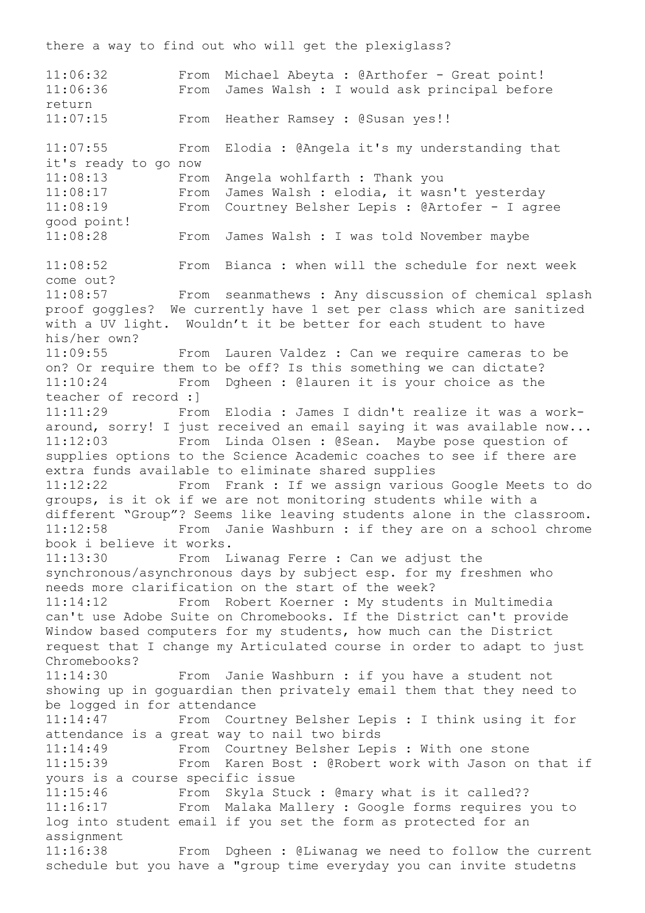11:06:32 From Michael Abeyta : @Arthofer - Great point! 11:06:36 From James Walsh : I would ask principal before return 11:07:15 From Heather Ramsey : @Susan yes!! 11:07:55 From Elodia : @Angela it's my understanding that it's ready to go now 11:08:13 From Angela wohlfarth : Thank you 11:08:17 From James Walsh : elodia, it wasn't yesterday 11:08:19 From Courtney Belsher Lepis : @Artofer - I agree good point! 11:08:28 From James Walsh : I was told November maybe 11:08:52 From Bianca : when will the schedule for next week come out? 11:08:57 From seanmathews : Any discussion of chemical splash proof goggles? We currently have 1 set per class which are sanitized with a UV light. Wouldn't it be better for each student to have his/her own? 11:09:55 From Lauren Valdez : Can we require cameras to be on? Or require them to be off? Is this something we can dictate? 11:10:24 From Dgheen : @lauren it is your choice as the teacher of record :] 11:11:29 From Elodia : James I didn't realize it was a workaround, sorry! I just received an email saying it was available now... 11:12:03 From Linda Olsen : @Sean. Maybe pose question of supplies options to the Science Academic coaches to see if there are extra funds available to eliminate shared supplies 11:12:22 From Frank : If we assign various Google Meets to do groups, is it ok if we are not monitoring students while with a different "Group"? Seems like leaving students alone in the classroom. 11:12:58 From Janie Washburn : if they are on a school chrome book i believe it works. 11:13:30 From Liwanag Ferre : Can we adjust the synchronous/asynchronous days by subject esp. for my freshmen who needs more clarification on the start of the week? 11:14:12 From Robert Koerner : My students in Multimedia can't use Adobe Suite on Chromebooks. If the District can't provide Window based computers for my students, how much can the District request that I change my Articulated course in order to adapt to just Chromebooks? 11:14:30 From Janie Washburn : if you have a student not showing up in goguardian then privately email them that they need to be logged in for attendance 11:14:47 From Courtney Belsher Lepis : I think using it for attendance is a great way to nail two birds 11:14:49 From Courtney Belsher Lepis : With one stone 11:15:39 From Karen Bost : @Robert work with Jason on that if yours is a course specific issue 11:15:46 From Skyla Stuck : @mary what is it called?? 11:16:17 From Malaka Mallery : Google forms requires you to log into student email if you set the form as protected for an assignment 11:16:38 From Dgheen : @Liwanag we need to follow the current schedule but you have a "group time everyday you can invite studetns

there a way to find out who will get the plexiglass?